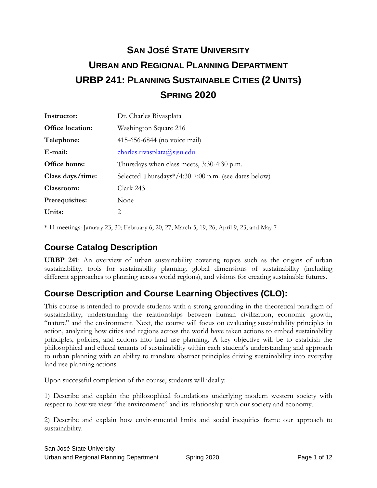# **SAN JOSÉ STATE UNIVERSITY URBAN AND REGIONAL PLANNING DEPARTMENT URBP 241: PLANNING SUSTAINABLE CITIES (2 UNITS) SPRING 2020**

| Instructor:      | Dr. Charles Rivasplata                               |  |  |
|------------------|------------------------------------------------------|--|--|
| Office location: | Washington Square 216                                |  |  |
| Telephone:       | 415-656-6844 (no voice mail)                         |  |  |
| E-mail:          | charles.rivasplata@sjsu.edu                          |  |  |
| Office hours:    | Thursdays when class meets, 3:30-4:30 p.m.           |  |  |
| Class days/time: | Selected Thursdays*/4:30-7:00 p.m. (see dates below) |  |  |
| Classroom:       | Clark 243                                            |  |  |
| Prerequisites:   | None                                                 |  |  |
| Units:           | 2                                                    |  |  |

\* 11 meetings: January 23, 30; February 6, 20, 27; March 5, 19, 26; April 9, 23; and May 7

#### **Course Catalog Description**

**URBP 241**: An overview of urban sustainability covering topics such as the origins of urban sustainability, tools for sustainability planning, global dimensions of sustainability (including different approaches to planning across world regions), and visions for creating sustainable futures.

### **Course Description and Course Learning Objectives (CLO):**

This course is intended to provide students with a strong grounding in the theoretical paradigm of sustainability, understanding the relationships between human civilization, economic growth, "nature" and the environment. Next, the course will focus on evaluating sustainability principles in action, analyzing how cities and regions across the world have taken actions to embed sustainability principles, policies, and actions into land use planning. A key objective will be to establish the philosophical and ethical tenants of sustainability within each student's understanding and approach to urban planning with an ability to translate abstract principles driving sustainability into everyday land use planning actions.

Upon successful completion of the course, students will ideally:

1) Describe and explain the philosophical foundations underlying modern western society with respect to how we view "the environment" and its relationship with our society and economy.

2) Describe and explain how environmental limits and social inequities frame our approach to sustainability.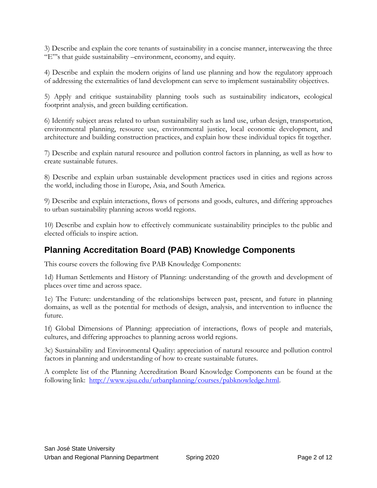3) Describe and explain the core tenants of sustainability in a concise manner, interweaving the three "E"'s that guide sustainability –environment, economy, and equity.

4) Describe and explain the modern origins of land use planning and how the regulatory approach of addressing the externalities of land development can serve to implement sustainability objectives.

5) Apply and critique sustainability planning tools such as sustainability indicators, ecological footprint analysis, and green building certification.

6) Identify subject areas related to urban sustainability such as land use, urban design, transportation, environmental planning, resource use, environmental justice, local economic development, and architecture and building construction practices, and explain how these individual topics fit together.

7) Describe and explain natural resource and pollution control factors in planning, as well as how to create sustainable futures.

8) Describe and explain urban sustainable development practices used in cities and regions across the world, including those in Europe, Asia, and South America.

9) Describe and explain interactions, flows of persons and goods, cultures, and differing approaches to urban sustainability planning across world regions.

10) Describe and explain how to effectively communicate sustainability principles to the public and elected officials to inspire action.

### **Planning Accreditation Board (PAB) Knowledge Components**

This course covers the following five PAB Knowledge Components:

1d) Human Settlements and History of Planning: understanding of the growth and development of places over time and across space.

1e) The Future: understanding of the relationships between past, present, and future in planning domains, as well as the potential for methods of design, analysis, and intervention to influence the future.

1f) Global Dimensions of Planning: appreciation of interactions, flows of people and materials, cultures, and differing approaches to planning across world regions.

3c) Sustainability and Environmental Quality: appreciation of natural resource and pollution control factors in planning and understanding of how to create sustainable futures.

A complete list of the Planning Accreditation Board Knowledge Components can be found at the following link: [http://www.sjsu.edu/urbanplanning/courses/pabknowledge.html.](http://www.sjsu.edu/urbanplanning/courses/pabknowledge.html)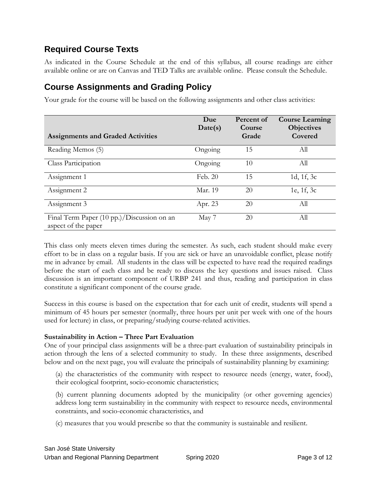#### **Required Course Texts**

As indicated in the Course Schedule at the end of this syllabus, all course readings are either available online or are on Canvas and TED Talks are available online. Please consult the Schedule.

### **Course Assignments and Grading Policy**

Your grade for the course will be based on the following assignments and other class activities:

| <b>Assignments and Graded Activities</b>                          | Due<br>Date(s) | Percent of<br>Course<br>Grade | <b>Course Learning</b><br><b>Objectives</b><br>Covered |
|-------------------------------------------------------------------|----------------|-------------------------------|--------------------------------------------------------|
| Reading Memos (5)                                                 | Ongoing        | 15                            | All                                                    |
| Class Participation                                               | Ongoing        | 10                            | All                                                    |
| Assignment 1                                                      | Feb. 20        | 15                            | 1d, 1f, 3c                                             |
| Assignment 2                                                      | Mar. 19        | 20                            | 1e, 1f, 3c                                             |
| Assignment 3                                                      | Apr. 23        | 20                            | All                                                    |
| Final Term Paper (10 pp.)/Discussion on an<br>aspect of the paper | May 7          | 20                            | All                                                    |

This class only meets eleven times during the semester. As such, each student should make every effort to be in class on a regular basis. If you are sick or have an unavoidable conflict, please notify me in advance by email. All students in the class will be expected to have read the required readings before the start of each class and be ready to discuss the key questions and issues raised. Class discussion is an important component of URBP 241 and thus, reading and participation in class constitute a significant component of the course grade.

Success in this course is based on the expectation that for each unit of credit, students will spend a minimum of 45 hours per semester (normally, three hours per unit per week with one of the hours used for lecture) in class, or preparing/studying course-related activities.

#### **Sustainability in Action – Three Part Evaluation**

One of your principal class assignments will be a three-part evaluation of sustainability principals in action through the lens of a selected community to study. In these three assignments, described below and on the next page, you will evaluate the principals of sustainability planning by examining:

(a) the characteristics of the community with respect to resource needs (energy, water, food), their ecological footprint, socio-economic characteristics;

(b) current planning documents adopted by the municipality (or other governing agencies) address long term sustainability in the community with respect to resource needs, environmental constraints, and socio-economic characteristics, and

(c) measures that you would prescribe so that the community is sustainable and resilient.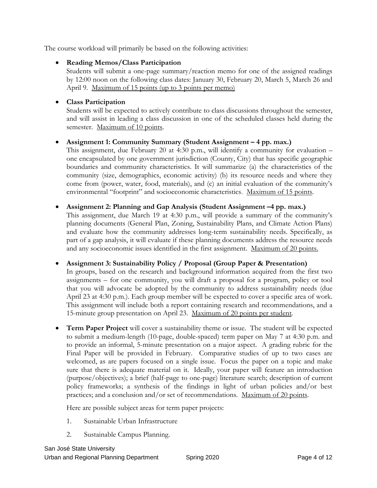The course workload will primarily be based on the following activities:

#### **Reading Memos/Class Participation**

Students will submit a one-page summary/reaction memo for one of the assigned readings by 12:00 noon on the following class dates: January 30, February 20, March 5, March 26 and April 9. Maximum of 15 points (up to 3 points per memo)

#### **Class Participation**

Students will be expected to actively contribute to class discussions throughout the semester, and will assist in leading a class discussion in one of the scheduled classes held during the semester. Maximum of 10 points.

#### **Assignment 1: Community Summary (Student Assignment – 4 pp. max.)**

This assignment, due February 20 at 4:30 p.m., will identify a community for evaluation – one encapsulated by one government jurisdiction (County, City) that has specific geographic boundaries and community characteristics. It will summarize (a) the characteristics of the community (size, demographics, economic activity) (b) its resource needs and where they come from (power, water, food, materials), and (c) an initial evaluation of the community's environmental "footprint" and socioeconomic characteristics. Maximum of 15 points.

#### **Assignment 2: Planning and Gap Analysis (Student Assignment –4 pp. max.)**

This assignment, due March 19 at 4:30 p.m., will provide a summary of the community's planning documents (General Plan, Zoning, Sustainability Plans, and Climate Action Plans) and evaluate how the community addresses long-term sustainability needs. Specifically, as part of a gap analysis, it will evaluate if these planning documents address the resource needs and any socioeconomic issues identified in the first assignment. Maximum of 20 points.

#### **Assignment 3: Sustainability Policy / Proposal (Group Paper & Presentation)**

In groups, based on the research and background information acquired from the first two assignments – for one community, you will draft a proposal for a program, policy or tool that you will advocate be adopted by the community to address sustainability needs (due April 23 at 4:30 p.m.). Each group member will be expected to cover a specific area of work. This assignment will include both a report containing research and recommendations, and a 15-minute group presentation on April 23. Maximum of 20 points per student.

 **Term Paper Project** will cover a sustainability theme or issue. The student will be expected to submit a medium-length (10-page, double-spaced) term paper on May 7 at 4:30 p.m. and to provide an informal, 5-minute presentation on a major aspect. A grading rubric for the Final Paper will be provided in February. Comparative studies of up to two cases are welcomed, as are papers focused on a single issue. Focus the paper on a topic and make sure that there is adequate material on it. Ideally, your paper will feature an introduction (purpose/objectives); a brief (half-page to one-page) literature search; description of current policy frameworks; a synthesis of the findings in light of urban policies and/or best practices; and a conclusion and/or set of recommendations. Maximum of 20 points.

Here are possible subject areas for term paper projects:

- 1. Sustainable Urban Infrastructure
- 2. Sustainable Campus Planning.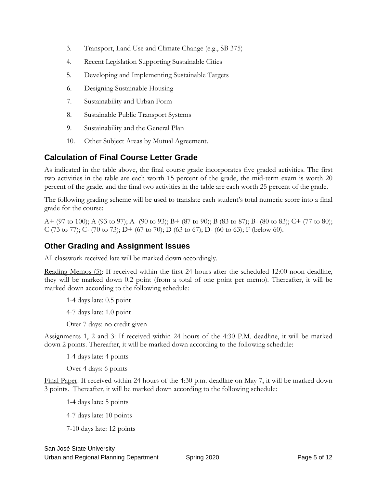- 3. Transport, Land Use and Climate Change (e.g., SB 375)
- 4. Recent Legislation Supporting Sustainable Cities
- 5. Developing and Implementing Sustainable Targets
- 6. Designing Sustainable Housing
- 7. Sustainability and Urban Form
- 8. Sustainable Public Transport Systems
- 9. Sustainability and the General Plan
- 10. Other Subject Areas by Mutual Agreement.

#### **Calculation of Final Course Letter Grade**

As indicated in the table above, the final course grade incorporates five graded activities. The first two activities in the table are each worth 15 percent of the grade, the mid-term exam is worth 20 percent of the grade, and the final two activities in the table are each worth 25 percent of the grade.

The following grading scheme will be used to translate each student's total numeric score into a final grade for the course:

A+ (97 to 100); A (93 to 97); A- (90 to 93); B+ (87 to 90); B (83 to 87); B- (80 to 83); C+ (77 to 80); C (73 to 77); C- (70 to 73); D+ (67 to 70); D (63 to 67); D- (60 to 63); F (below 60).

#### **Other Grading and Assignment Issues**

All classwork received late will be marked down accordingly.

Reading Memos (5): If received within the first 24 hours after the scheduled 12:00 noon deadline, they will be marked down 0.2 point (from a total of one point per memo). Thereafter, it will be marked down according to the following schedule:

1-4 days late: 0.5 point

4-7 days late: 1.0 point

Over 7 days: no credit given

Assignments 1, 2 and 3: If received within 24 hours of the 4:30 P.M. deadline, it will be marked down 2 points. Thereafter, it will be marked down according to the following schedule:

1-4 days late: 4 points

Over 4 days: 6 points

Final Paper: If received within 24 hours of the 4:30 p.m. deadline on May 7, it will be marked down 3 points. Thereafter, it will be marked down according to the following schedule:

1-4 days late: 5 points

4-7 days late: 10 points

7-10 days late: 12 points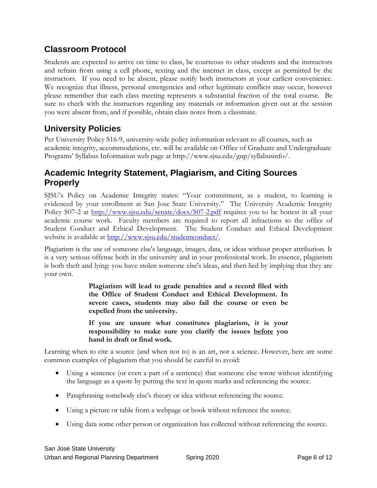# **Classroom Protocol**

Students are expected to arrive on time to class, be courteous to other students and the instructors and refrain from using a cell phone, texting and the internet in class, except as permitted by the instructors. If you need to be absent, please notify both instructors at your earliest convenience. We recognize that illness, personal emergencies and other legitimate conflicts may occur, however please remember that each class meeting represents a substantial fraction of the total course. Be sure to check with the instructors regarding any materials or information given out at the session you were absent from, and if possible, obtain class notes from a classmate.

# **University Policies**

Per University Policy S16-9, university-wide policy information relevant to all courses, such as academic integrity, accommodations, etc. will be available on Office of Graduate and Undergraduate Programs' Syllabus Information web page at http://www.sjsu.edu/gup/syllabusinfo/.

# **Academic Integrity Statement, Plagiarism, and Citing Sources Properly**

SJSU's Policy on Academic Integrity states: "Your commitment, as a student, to learning is evidenced by your enrollment at San Jose State University." The [University Academic Integrity](http://www.sjsu.edu/senate/docs/S07-2.pdf)  [Policy S07-2](http://www.sjsu.edu/senate/docs/S07-2.pdf) at<http://www.sjsu.edu/senate/docs/S07-2.pdf> requires you to be honest in all your academic course work. Faculty members are required to report all infractions to the office of Student Conduct and Ethical Development. The [Student Conduct and Ethical Development](http://www.sjsu.edu/studentconduct/)  [website](http://www.sjsu.edu/studentconduct/) is available at [http://www.sjsu.edu/studentconduct/.](http://www.sjsu.edu/studentconduct/)

Plagiarism is the use of someone else's language, images, data, or ideas without proper attribution. It is a very serious offense both in the university and in your professional work. In essence, plagiarism is both theft and lying: you have stolen someone else's ideas, and then lied by implying that they are your own.

> **Plagiarism will lead to grade penalties and a record filed with the Office of Student Conduct and Ethical Development. In severe cases, students may also fail the course or even be expelled from the university.**

> **If you are unsure what constitutes plagiarism, it is your responsibility to make sure you clarify the issues before you hand in draft or final work.**

Learning when to cite a source (and when not to) is an art, not a science. However, here are some common examples of plagiarism that you should be careful to avoid:

- Using a sentence (or even a part of a sentence) that someone else wrote without identifying the language as a quote by putting the text in quote marks and referencing the source.
- Paraphrasing somebody else's theory or idea without referencing the source.
- Using a picture or table from a webpage or book without reference the source.
- Using data some other person or organization has collected without referencing the source.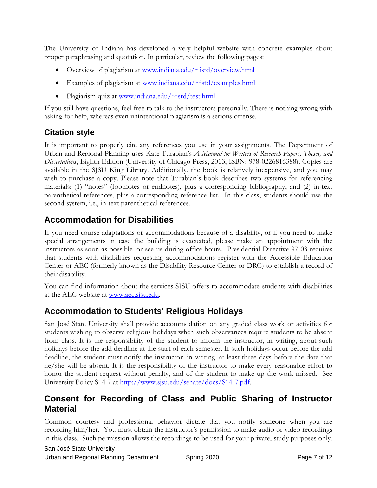The University of Indiana has developed a very helpful website with concrete examples about proper paraphrasing and quotation. In particular, review the following pages:

- Overview of plagiarism at [www.indiana.edu/~istd/overview.html](http://www.indiana.edu/~istd/overview.html)
- Examples of plagiarism at www.indiana.edu/ $\sim$ istd/examples.html
- Plagiarism quiz at [www.indiana.edu/~istd/test.html](http://www.indiana.edu/~istd/test.html)

If you still have questions, feel free to talk to the instructors personally. There is nothing wrong with asking for help, whereas even unintentional plagiarism is a serious offense.

#### **Citation style**

It is important to properly cite any references you use in your assignments. The Department of Urban and Regional Planning uses Kate Turabian's *A Manual for Writers of Research Papers, Theses, and Dissertations*, Eighth Edition (University of Chicago Press, 2013, ISBN: 978-0226816388). Copies are available in the SJSU King Library. Additionally, the book is relatively inexpensive, and you may wish to purchase a copy. Please note that Turabian's book describes two systems for referencing materials: (1) "notes" (footnotes or endnotes), plus a corresponding bibliography, and (2) in-text parenthetical references, plus a corresponding reference list. In this class, students should use the second system, i.e., in-text parenthetical references.

#### **Accommodation for Disabilities**

If you need course adaptations or accommodations because of a disability, or if you need to make special arrangements in case the building is evacuated, please make an appointment with the instructors as soon as possible, or see us during office hours. Presidential Directive 97-03 requires that students with disabilities requesting accommodations register with the Accessible Education Center or AEC (formerly known as the Disability Resource Center or DRC) to establish a record of their disability.

You can find information about the services SJSU offers to accommodate students with disabilities at the AEC website at [www.aec.sjsu.edu.](http://www.aec.sjsu.edu/)

### **Accommodation to Students' Religious Holidays**

San José State University shall provide accommodation on any graded class work or activities for students wishing to observe religious holidays when such observances require students to be absent from class. It is the responsibility of the student to inform the instructor, in writing, about such holidays before the add deadline at the start of each semester. If such holidays occur before the add deadline, the student must notify the instructor, in writing, at least three days before the date that he/she will be absent. It is the responsibility of the instructor to make every reasonable effort to honor the student request without penalty, and of the student to make up the work missed. See [University Policy S14-7](http://www.sjsu.edu/senate/docs/S14-7.pdf) at [http://www.sjsu.edu/senate/docs/S14-7.pdf.](http://www.sjsu.edu/senate/docs/S14-7.pdf)

#### **Consent for Recording of Class and Public Sharing of Instructor Material**

Common courtesy and professional behavior dictate that you notify someone when you are recording him/her. You must obtain the instructor's permission to make audio or video recordings in this class. Such permission allows the recordings to be used for your private, study purposes only.

San José State University

Urban and Regional Planning Department Spring 2020 **Page 7 of 12**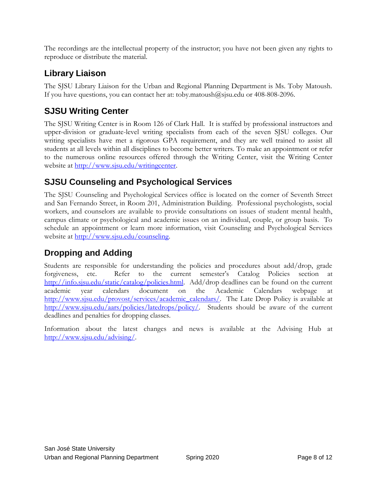The recordings are the intellectual property of the instructor; you have not been given any rights to reproduce or distribute the material.

# **Library Liaison**

The SJSU Library Liaison for the Urban and Regional Planning Department is Ms. Toby Matoush. If you have questions, you can contact her at: [toby.matoush@sjsu.edu](mailto:toby.matoush@sjsu.edu) or 408-808-2096.

# **SJSU Writing Center**

The SJSU Writing Center is in Room 126 of Clark Hall. It is staffed by professional instructors and upper-division or graduate-level writing specialists from each of the seven SJSU colleges. Our writing specialists have met a rigorous GPA requirement, and they are well trained to assist all students at all levels within all disciplines to become better writers. To make an appointment or refer to the numerous online resources offered through the Writing Center, visit the Writing Center website at <u>http://www.sjsu.edu/writingcenter</u>.

#### **SJSU Counseling and Psychological Services**

The SJSU Counseling and Psychological Services office is located on the corner of Seventh Street and San Fernando Street, in Room 201, Administration Building. Professional psychologists, social workers, and counselors are available to provide consultations on issues of student mental health, campus climate or psychological and academic issues on an individual, couple, or group basis. To schedule an appointment or learn more information, visit [Counseling and Psychological Services](http://www.sjsu.edu/counseling)  [website](http://www.sjsu.edu/counseling) at [http://www.sjsu.edu/counseling.](http://www.sjsu.edu/counseling)

### **Dropping and Adding**

Students are responsible for understanding the policies and procedures about add/drop, grade forgiveness, etc. Refer to the current semester's [Catalog Policies](http://info.sjsu.edu/static/catalog/policies.html) section at [http://info.sjsu.edu/static/catalog/policies.html.](http://info.sjsu.edu/static/catalog/policies.html) Add/drop deadlines can be found on the current academic year calendars document on the [Academic Calendars webpage](http://www.sjsu.edu/provost/services/academic_calendars/) at [http://www.sjsu.edu/provost/services/academic\\_calendars/.](http://www.sjsu.edu/provost/services/academic_calendars/) The [Late Drop Policy](http://www.sjsu.edu/aars/policies/latedrops/policy/) is available at [http://www.sjsu.edu/aars/policies/latedrops/policy/.](http://www.sjsu.edu/aars/policies/latedrops/policy/) Students should be aware of the current deadlines and penalties for dropping classes.

Information about the latest changes and news is available at the [Advising Hub](http://www.sjsu.edu/advising/) at [http://www.sjsu.edu/advising/.](http://www.sjsu.edu/advising/)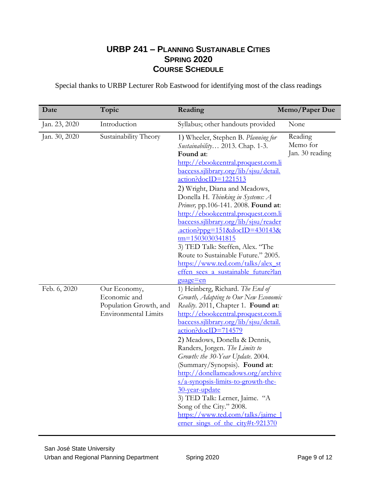#### **URBP 241 – PLANNING SUSTAINABLE CITIES SPRING 2020 COURSE SCHEDULE**

Special thanks to URBP Lecturer Rob Eastwood for identifying most of the class readings

| Date          | Topic                                                                                 | Reading                                                                                                                                                                                                                                                                                                                                                                                                                                                                                                                                                                                                                               | Memo/Paper Due                         |
|---------------|---------------------------------------------------------------------------------------|---------------------------------------------------------------------------------------------------------------------------------------------------------------------------------------------------------------------------------------------------------------------------------------------------------------------------------------------------------------------------------------------------------------------------------------------------------------------------------------------------------------------------------------------------------------------------------------------------------------------------------------|----------------------------------------|
| Jan. 23, 2020 | Introduction                                                                          | Syllabus; other handouts provided                                                                                                                                                                                                                                                                                                                                                                                                                                                                                                                                                                                                     | None                                   |
| Jan. 30, 2020 | Sustainability Theory                                                                 | 1) Wheeler, Stephen B. Planning for<br>Sustainability 2013. Chap. 1-3.<br>Found at:<br>http://ebookcentral.proquest.com.li<br>baccess.sjlibrary.org/lib/sjsu/detail.<br>action?docID=1221513<br>2) Wright, Diana and Meadows,<br>Donella H. Thinking in Systems: A<br>Primer, pp.106-141. 2008. Found at:<br>http://ebookcentral.proquest.com.li<br><u>baccess.sjlibrary.org/lib/sjsu/reader</u><br>$\cdot$ action?ppg=151&docID=430143&<br>tm=1503030341815<br>3) TED Talk: Steffen, Alex. "The<br>Route to Sustainable Future." 2005.<br>https://www.ted.com/talks/alex_st<br>effen sees a sustainable future?lan                   | Reading<br>Memo for<br>Jan. 30 reading |
| Feb. 6, 2020  | Our Economy,<br>Economic and<br>Population Growth, and<br><b>Environmental Limits</b> | <u>guage=en</u><br>1) Heinberg, Richard. The End of<br>Growth, Adapting to Our New Economic<br>Reality. 2011, Chapter 1. Found at:<br>http://ebookcentral.proquest.com.li<br><u>baccess.sjlibrary.org/lib/sjsu/detail.</u><br>$\arctan$ ?docID=714579<br>2) Meadows, Donella & Dennis,<br>Randers, Jorgen. The Limits to<br>Growth: the 30-Year Update. 2004.<br>(Summary/Synopsis). Found at:<br>http://donellameadows.org/archive<br>$s/a$ -synopsis-limits-to-growth-the-<br>30-year-update<br>3) TED Talk: Lerner, Jaime. "A<br>Song of the City." 2008.<br>https://www.ted.com/talks/jaime_1<br>erner sings of the city#t-921370 |                                        |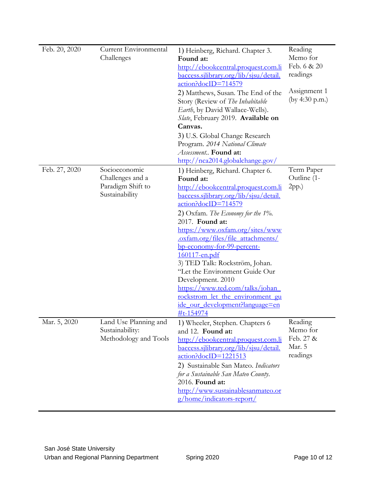| Feb. 20, 2020 | Current Environmental<br>Challenges                                      | 1) Heinberg, Richard. Chapter 3.<br>Found at:<br>http://ebookcentral.proquest.com.li<br><u>baccess.sjlibrary.org/lib/sjsu/detail.</u><br>action?docID=714579<br>2) Matthews, Susan. The End of the<br>Story (Review of The Inhabitable<br>Earth, by David Wallace-Wells).<br>Slate, February 2019. Available on<br>Canvas.<br>3) U.S. Global Change Research<br>Program. 2014 National Climate<br>Assessment Found at:<br>http://nca2014.globalchange.gov/                                                                                                | Reading<br>Memo for<br>Feb. 6 & 20<br>readings<br>Assignment 1<br>(by 4:30 p.m.) |
|---------------|--------------------------------------------------------------------------|-----------------------------------------------------------------------------------------------------------------------------------------------------------------------------------------------------------------------------------------------------------------------------------------------------------------------------------------------------------------------------------------------------------------------------------------------------------------------------------------------------------------------------------------------------------|----------------------------------------------------------------------------------|
| Feb. 27, 2020 | Socioeconomic<br>Challenges and a<br>Paradigm Shift to<br>Sustainability | 1) Heinberg, Richard. Chapter 6.<br>Found at:<br>http://ebookcentral.proquest.com.li<br>baccess.sjlibrary.org/lib/sjsu/detail.<br>action?docID=714579<br>2) Oxfam. The Economy for the $1\%$ .<br>2017. Found at:<br>https://www.oxfam.org/sites/www<br>.oxfam.org/files/file attachments/<br>bp-economy-for-99-percent-<br>160117-en.pdf<br>3) TED Talk: Rockström, Johan.<br>"Let the Environment Guide Our<br>Development. 2010<br>https://www.ted.com/talks/johan<br>rockstrom let the environment gu<br>ide our development?language=en<br>#t-154974 | Term Paper<br>Outline (1-<br>$2pp.$ )                                            |
| Mar. 5, 2020  | Land Use Planning and<br>Sustainability:<br>Methodology and Tools        | 1) Wheeler, Stephen. Chapters 6<br>and 12. Found at:<br>http://ebookcentral.proquest.com.li<br>baccess.sjlibrary.org/lib/sjsu/detail.<br>$\arctan? \cdot \cdot \cdot$ = 1221513<br>2) Sustainable San Mateo. Indicators<br>for a Sustainable San Mateo County.<br>2016. Found at:<br>http://www.sustainablesanmateo.or<br><u>g/home/indicators-report/</u>                                                                                                                                                                                                | Reading<br>Memo for<br>Feb. 27 &<br>Mar. 5<br>readings                           |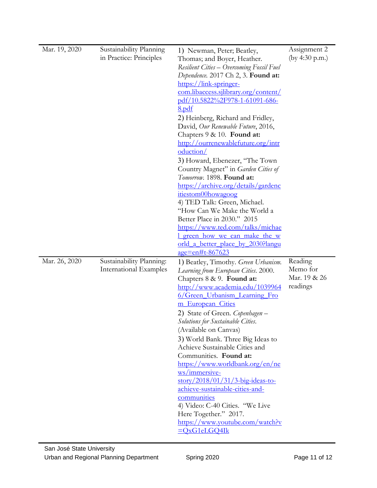| Mar. 19, 2020 | Sustainability Planning<br>in Practice: Principles | 1) Newman, Peter; Beatley,<br>Thomas; and Boyer, Heather.<br><b>Resilient Cities – Overcoming Fossil Fuel</b><br>Dependence. 2017 Ch 2, 3. Found at:<br>https://link-springer-<br>com.libaccess.sjlibrary.org/content/<br>pdf/10.5822%2F978-1-61091-686-<br><u>8.pdf</u><br>2) Heinberg, Richard and Fridley,<br>David, Our Renewable Future, 2016,<br>Chapters 9 & 10. Found at:<br>http://ourrenewablefuture.org/intr<br>oduction/<br>3) Howard, Ebenezer, "The Town<br>Country Magnet" in Garden Cities of<br>Tomorrow. 1898. Found at:<br>https://archive.org/details/gardenc<br>itiestom00howagoog<br>4) TED Talk: Green, Michael.<br>"How Can We Make the World a<br>Better Place in 2030." 2015<br>https://www.ted.com/talks/michae<br><u>I green how we can make the w</u><br><u>orld a better place by 2030?langu</u><br><u>age=en#t-867623</u> | Assignment 2<br>(by 4:30 p.m.)                  |
|---------------|----------------------------------------------------|----------------------------------------------------------------------------------------------------------------------------------------------------------------------------------------------------------------------------------------------------------------------------------------------------------------------------------------------------------------------------------------------------------------------------------------------------------------------------------------------------------------------------------------------------------------------------------------------------------------------------------------------------------------------------------------------------------------------------------------------------------------------------------------------------------------------------------------------------------|-------------------------------------------------|
| Mar. 26, 2020 | Sustainability Planning:<br>International Examples | 1) Beatley, Timothy. Green Urbanism.<br>Learning from European Cities. 2000.<br>Chapters 8 & 9. Found at:<br>http://www.academia.edu/1039964<br>6/Green_Urbanism_Learning_Fro<br>m European Cities<br>2) State of Green. Copenhagen -<br>Solutions for Sustainable Cities.<br>(Available on Canvas)<br>3) World Bank. Three Big Ideas to<br>Achieve Sustainable Cities and<br>Communities. Found at:<br>https://www.worldbank.org/en/ne<br>ws/immersive-<br>$\frac{\text{story}}{2018/01/31/3}$ -big-ideas-to-<br>achieve-sustainable-cities-and-<br>communities<br>4) Video: C-40 Cities. "We Live<br>Here Together." 2017.<br>https://www.youtube.com/watch?v<br>$=QxG1eLGQ4Ik$                                                                                                                                                                        | Reading<br>Memo for<br>Mar. 19 & 26<br>readings |